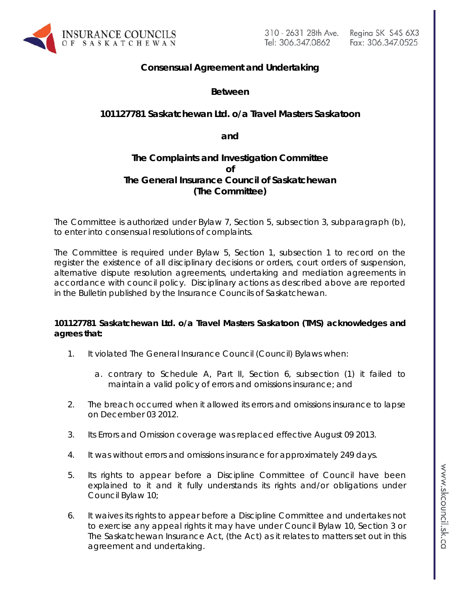

# **Consensual Agreement and Undertaking**

**Between**

## **101127781 Saskatchewan Ltd. o/a Travel Masters Saskatoon**

**and**

## **The Complaints and Investigation Committee of The General Insurance Council of Saskatchewan (The Committee)**

The Committee is authorized under Bylaw 7, Section 5, subsection 3, subparagraph (b), to enter into consensual resolutions of complaints.

The Committee is required under Bylaw 5, Section 1, subsection 1 to record on the register the existence of all disciplinary decisions or orders, court orders of suspension, alternative dispute resolution agreements, undertaking and mediation agreements in accordance with council policy. Disciplinary actions as described above are reported in the Bulletin published by the Insurance Councils of Saskatchewan.

### **101127781 Saskatchewan Ltd. o/a Travel Masters Saskatoon (TMS) acknowledges and agrees that:**

- 1. It violated The General Insurance Council (Council) Bylaws when:
	- a. contrary to Schedule A, Part II, Section 6, subsection (1) it failed to maintain a valid policy of errors and omissions insurance; and
- 2. The breach occurred when it allowed its errors and omissions insurance to lapse on December 03 2012.
- 3. Its Errors and Omission coverage was replaced effective August 09 2013.
- 4. It was without errors and omissions insurance for approximately 249 days.
- 5. Its rights to appear before a Discipline Committee of Council have been explained to it and it fully understands its rights and/or obligations under Council Bylaw 10;
- 6. It waives its rights to appear before a Discipline Committee and undertakes not to exercise any appeal rights it may have under Council Bylaw 10, Section 3 or *The Saskatchewan Insurance Act,* (the Act) as it relates to matters set out in this agreement and undertaking.